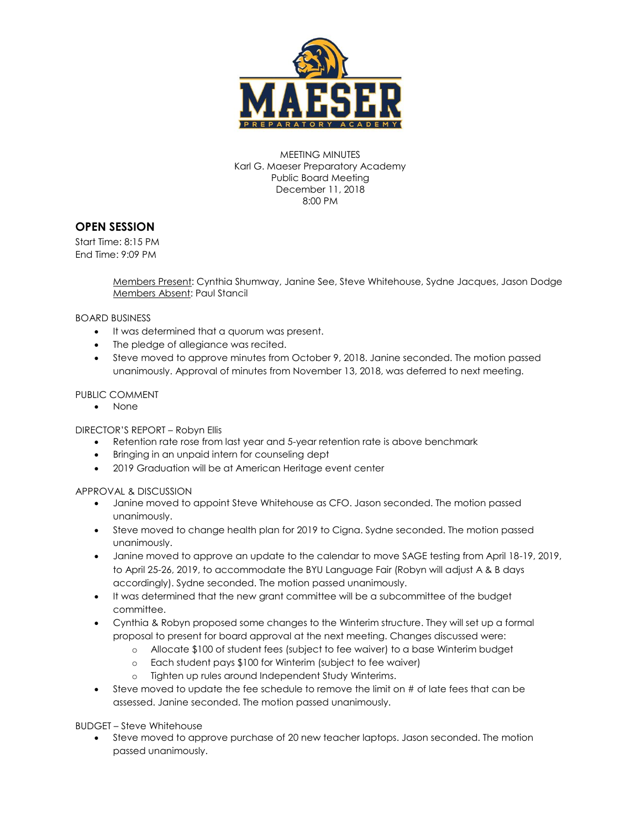

MEETING MINUTES Karl G. Maeser Preparatory Academy Public Board Meeting December 11, 2018 8:00 PM

## **OPEN SESSION**

Start Time: 8:15 PM End Time: 9:09 PM

> Members Present: Cynthia Shumway, Janine See, Steve Whitehouse, Sydne Jacques, Jason Dodge Members Absent: Paul Stancil

BOARD BUSINESS

- It was determined that a quorum was present.
- The pledge of allegiance was recited.
- Steve moved to approve minutes from October 9, 2018. Janine seconded. The motion passed unanimously. Approval of minutes from November 13, 2018, was deferred to next meeting.

#### PUBLIC COMMENT

• None

DIRECTOR'S REPORT – Robyn Ellis

- Retention rate rose from last year and 5-year retention rate is above benchmark
- Bringing in an unpaid intern for counseling dept
- 2019 Graduation will be at American Heritage event center

#### APPROVAL & DISCUSSION

- Janine moved to appoint Steve Whitehouse as CFO. Jason seconded. The motion passed unanimously.
- Steve moved to change health plan for 2019 to Cigna. Sydne seconded. The motion passed unanimously.
- Janine moved to approve an update to the calendar to move SAGE testing from April 18-19, 2019, to April 25-26, 2019, to accommodate the BYU Language Fair (Robyn will adjust A & B days accordingly). Sydne seconded. The motion passed unanimously.
- It was determined that the new grant committee will be a subcommittee of the budget committee.
- Cynthia & Robyn proposed some changes to the Winterim structure. They will set up a formal proposal to present for board approval at the next meeting. Changes discussed were:
	- o Allocate \$100 of student fees (subject to fee waiver) to a base Winterim budget
	- o Each student pays \$100 for Winterim (subject to fee waiver)
	- o Tighten up rules around Independent Study Winterims.
- $\bullet$  Steve moved to update the fee schedule to remove the limit on  $\#$  of late fees that can be assessed. Janine seconded. The motion passed unanimously.

BUDGET – Steve Whitehouse

 Steve moved to approve purchase of 20 new teacher laptops. Jason seconded. The motion passed unanimously.